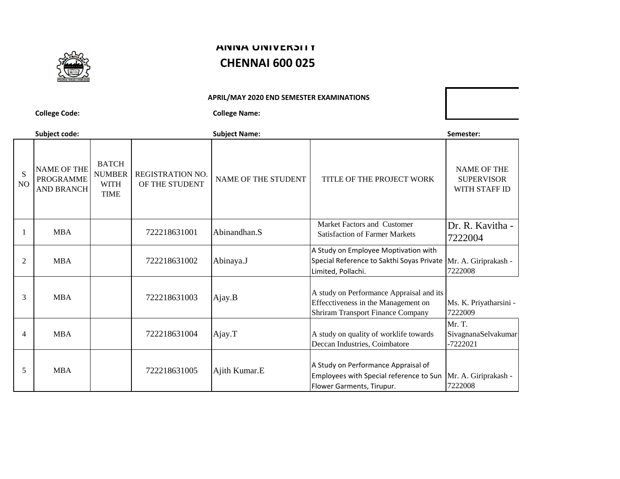

## **ANNA UNIVERSITY CHENNAI 600 025**

**APRIL/MAY 2020 END SEMESTER EXAMINATIONS**

**College Code: College Name:**

**Subject code: Subject Name: Semester:** S NO NAME OF THE PROGRAMME AND BRANCH BATCH NUMBER WITH TIME REGISTRATION NO. OF THE STUDENT NO. NAME OF THE STUDENT TITLE OF THE PROJECT WORK NAME OF THE **SUPERVISOR** WITH STAFF ID 1 MBA 722218631001 Abinandhan.S Market Factors and Customer Satisfaction of Farmer Markets Dr. R. Kavitha - 7222004 2 MBA 722218631002 Abinaya.J A Study on Employee Moptivation with Special Reference to Sakthi Soyas Private Mr. A. Giriprakash - Limited, Pollachi. 7222008 3 MBA 722218631003 Ajay.B A study on Performance Appraisal and its Effecctiveness in the Management on Shriram Transport Finance Company Ms. K. Priyatharsini - 7222009 4 MBA 722218631004 Ajay.T A study on quality of worklife towards Deccan Industries, Coimbatore Mr. T. SivagnanaSelvakumar -7222021 5 MBA 722218631005 Ajith Kumar.E A Study on Performance Appraisal of Employees with Special reference to Sun Flower Garments, Tirupur. Mr. A. Giriprakash - 7222008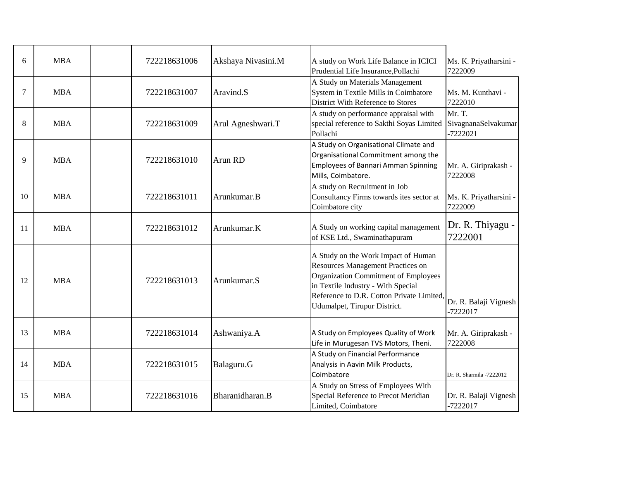| 6  | <b>MBA</b> | 722218631006 | Akshaya Nivasini.M | A study on Work Life Balance in ICICI<br>Prudential Life Insurance, Pollachi                                                                                                                                                               | Ms. K. Priyatharsini -<br>7222009           |
|----|------------|--------------|--------------------|--------------------------------------------------------------------------------------------------------------------------------------------------------------------------------------------------------------------------------------------|---------------------------------------------|
| 7  | <b>MBA</b> | 722218631007 | Aravind.S          | A Study on Materials Management<br>System in Textile Mills in Coimbatore<br>District With Reference to Stores                                                                                                                              | Ms. M. Kunthavi -<br>7222010                |
| 8  | <b>MBA</b> | 722218631009 | Arul Agneshwari.T  | A study on performance appraisal with<br>special reference to Sakthi Soyas Limited<br>Pollachi                                                                                                                                             | Mr. T.<br>SivagnanaSelvakumar<br>$-7222021$ |
| 9  | <b>MBA</b> | 722218631010 | Arun RD            | A Study on Organisational Climate and<br>Organisational Commitment among the<br><b>Employees of Bannari Amman Spinning</b><br>Mills, Coimbatore.                                                                                           | Mr. A. Giriprakash -<br>7222008             |
| 10 | <b>MBA</b> | 722218631011 | Arunkumar.B        | A study on Recruitment in Job<br>Consultancy Firms towards ites sector at<br>Coimbatore city                                                                                                                                               | Ms. K. Priyatharsini -<br>7222009           |
| 11 | <b>MBA</b> | 722218631012 | Arunkumar.K        | A Study on working capital management<br>of KSE Ltd., Swaminathapuram                                                                                                                                                                      | Dr. R. Thiyagu -<br>7222001                 |
| 12 | <b>MBA</b> | 722218631013 | Arunkumar.S        | A Study on the Work Impact of Human<br><b>Resources Management Practices on</b><br>Organization Commitment of Employees<br>in Textile Industry - With Special<br>Reference to D.R. Cotton Private Limited,<br>Udumalpet, Tirupur District. | Dr. R. Balaji Vignesh<br>$-7222017$         |
| 13 | <b>MBA</b> | 722218631014 | Ashwaniya.A        | A Study on Employees Quality of Work<br>Life in Murugesan TVS Motors, Theni.                                                                                                                                                               | Mr. A. Giriprakash -<br>7222008             |
| 14 | <b>MBA</b> | 722218631015 | Balaguru.G         | A Study on Financial Performance<br>Analysis in Aavin Milk Products,<br>Coimbatore                                                                                                                                                         | Dr. R. Sharmila -7222012                    |
| 15 | <b>MBA</b> | 722218631016 | Bharanidharan.B    | A Study on Stress of Employees With<br>Special Reference to Precot Meridian<br>Limited, Coimbatore                                                                                                                                         | Dr. R. Balaji Vignesh<br>$-7222017$         |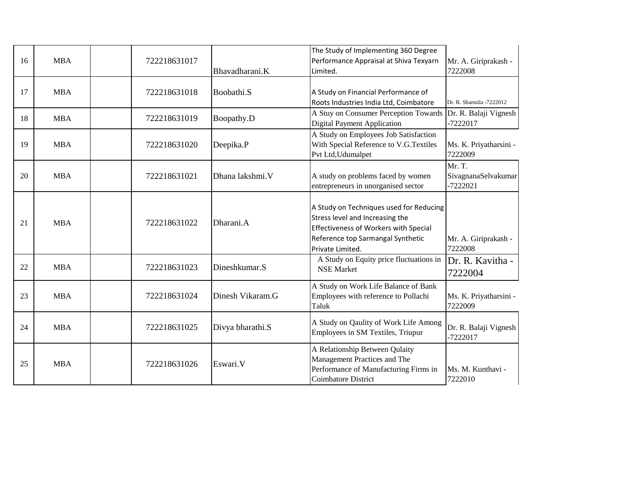| 16 | <b>MBA</b> | 722218631017 | Bhavadharani.K   | The Study of Implementing 360 Degree<br>Performance Appraisal at Shiva Texyarn<br>Limited.                                                                                   | Mr. A. Giriprakash -<br>7222008             |
|----|------------|--------------|------------------|------------------------------------------------------------------------------------------------------------------------------------------------------------------------------|---------------------------------------------|
| 17 | <b>MBA</b> | 722218631018 | Boobathi.S       | A Study on Financial Performance of<br>Roots Industries India Ltd, Coimbatore                                                                                                | Dr. R. Sharmila -7222012                    |
| 18 | <b>MBA</b> | 722218631019 | Boopathy.D       | A Stuy on Consumer Perception Towards<br><b>Digital Payment Application</b>                                                                                                  | Dr. R. Balaji Vignesh<br>-7222017           |
| 19 | <b>MBA</b> | 722218631020 | Deepika.P        | A Study on Employees Job Satisfaction<br>With Special Reference to V.G.Textiles<br>Pvt Ltd, Udumalpet                                                                        | Ms. K. Priyatharsini -<br>7222009           |
| 20 | <b>MBA</b> | 722218631021 | Dhana lakshmi.V  | A study on problems faced by women<br>entrepreneurs in unorganised sector                                                                                                    | Mr. T.<br>SivagnanaSelvakumar<br>$-7222021$ |
| 21 | <b>MBA</b> | 722218631022 | Dharani.A        | A Study on Techniques used for Reducing<br>Stress level and Increasing the<br>Effectiveness of Workers with Special<br>Reference top Sarmangal Synthetic<br>Private Limited. | Mr. A. Giriprakash -<br>7222008             |
| 22 | <b>MBA</b> | 722218631023 | Dineshkumar.S    | A Study on Equity price fluctuations in<br><b>NSE Market</b>                                                                                                                 | Dr. R. Kavitha -<br>7222004                 |
| 23 | <b>MBA</b> | 722218631024 | Dinesh Vikaram.G | A Study on Work Life Balance of Bank<br>Employees with reference to Pollachi<br>Taluk                                                                                        | Ms. K. Priyatharsini -<br>7222009           |
| 24 | <b>MBA</b> | 722218631025 | Divya bharathi.S | A Study on Qaulity of Work Life Among<br>Employees in SM Textiles, Triupur                                                                                                   | Dr. R. Balaji Vignesh<br>$-7222017$         |
| 25 | <b>MBA</b> | 722218631026 | Eswari.V         | A Relationship Between Qulaity<br>Management Practices and The<br>Performance of Manufacturing Firms in<br>Coimbatore District                                               | Ms. M. Kunthavi -<br>7222010                |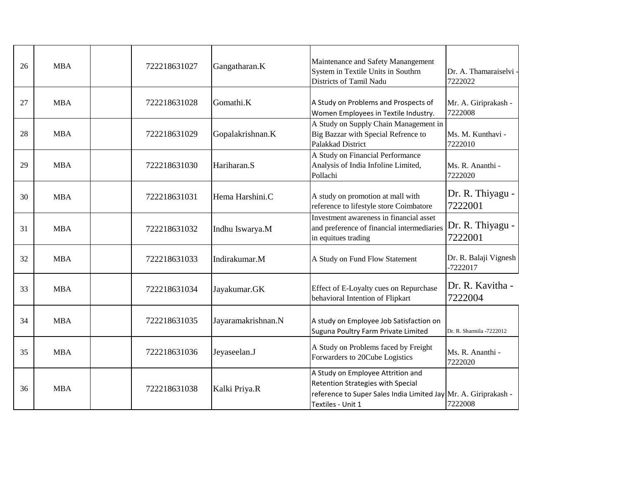| 26 | <b>MBA</b> | 722218631027 | Gangatharan.K      | Maintenance and Safety Manangement<br>System in Textile Units in Southrn<br>Districts of Tamil Nadu                                                            | Dr. A. Thamaraiselvi -<br>7222022 |
|----|------------|--------------|--------------------|----------------------------------------------------------------------------------------------------------------------------------------------------------------|-----------------------------------|
| 27 | <b>MBA</b> | 722218631028 | Gomathi.K          | A Study on Problems and Prospects of<br>Women Employees in Textile Industry.                                                                                   | Mr. A. Giriprakash -<br>7222008   |
| 28 | <b>MBA</b> | 722218631029 | Gopalakrishnan.K   | A Study on Supply Chain Management in<br>Big Bazzar with Special Refrence to<br>Palakkad District                                                              | Ms. M. Kunthavi -<br>7222010      |
| 29 | <b>MBA</b> | 722218631030 | Hariharan.S        | A Study on Financial Performance<br>Analysis of India Infoline Limited,<br>Pollachi                                                                            | Ms. R. Ananthi -<br>7222020       |
| 30 | <b>MBA</b> | 722218631031 | Hema Harshini.C    | A study on promotion at mall with<br>reference to lifestyle store Coimbatore                                                                                   | Dr. R. Thiyagu -<br>7222001       |
| 31 | <b>MBA</b> | 722218631032 | Indhu Iswarya.M    | Investment awareness in financial asset<br>and preference of financial intermediaries<br>in equitues trading                                                   | Dr. R. Thiyagu -<br>7222001       |
| 32 | <b>MBA</b> | 722218631033 | Indirakumar.M      | A Study on Fund Flow Statement                                                                                                                                 | Dr. R. Balaji Vignesh<br>-7222017 |
| 33 | <b>MBA</b> | 722218631034 | Jayakumar.GK       | Effect of E-Loyalty cues on Repurchase<br>behavioral Intention of Flipkart                                                                                     | Dr. R. Kavitha -<br>7222004       |
| 34 | <b>MBA</b> | 722218631035 | Jayaramakrishnan.N | A study on Employee Job Satisfaction on<br>Suguna Poultry Farm Private Limited                                                                                 | Dr. R. Sharmila -7222012          |
| 35 | <b>MBA</b> | 722218631036 | Jeyaseelan.J       | A Study on Problems faced by Freight<br>Forwarders to 20Cube Logistics                                                                                         | Ms. R. Ananthi -<br>7222020       |
| 36 | <b>MBA</b> | 722218631038 | Kalki Priya.R      | A Study on Employee Attrition and<br>Retention Strategies with Special<br>reference to Super Sales India Limited Jay Mr. A. Giriprakash -<br>Textiles - Unit 1 | 7222008                           |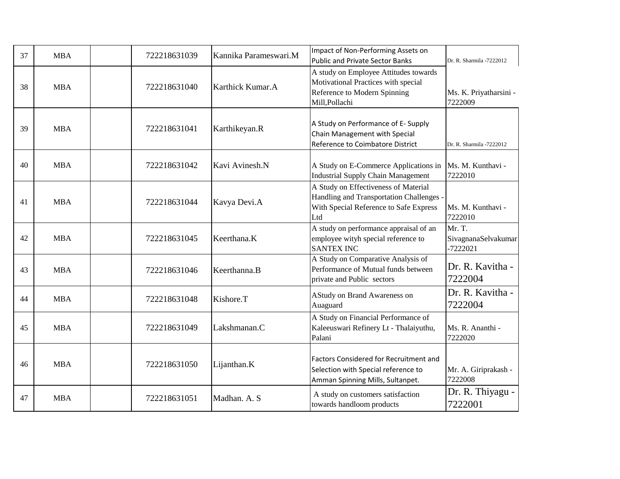| 37 | <b>MBA</b> | 722218631039 | Kannika Parameswari.M | Impact of Non-Performing Assets on<br><b>Public and Private Sector Banks</b>                                                      | Dr. R. Sharmila -7222012                    |
|----|------------|--------------|-----------------------|-----------------------------------------------------------------------------------------------------------------------------------|---------------------------------------------|
| 38 | <b>MBA</b> | 722218631040 | Karthick Kumar.A      | A study on Employee Attitudes towards<br>Motivational Practices with special<br>Reference to Modern Spinning<br>Mill, Pollachi    | Ms. K. Priyatharsini -<br>7222009           |
| 39 | <b>MBA</b> | 722218631041 | Karthikeyan.R         | A Study on Performance of E-Supply<br>Chain Management with Special<br>Reference to Coimbatore District                           | Dr. R. Sharmila -7222012                    |
| 40 | <b>MBA</b> | 722218631042 | Kavi Avinesh.N        | A Study on E-Commerce Applications in<br><b>Industrial Supply Chain Management</b>                                                | Ms. M. Kunthavi -<br>7222010                |
| 41 | <b>MBA</b> | 722218631044 | Kavya Devi.A          | A Study on Effectiveness of Material<br>Handling and Transportation Challenges -<br>With Special Reference to Safe Express<br>Ltd | Ms. M. Kunthavi -<br>7222010                |
| 42 | <b>MBA</b> | 722218631045 | Keerthana.K           | A study on performance appraisal of an<br>employee wityh special reference to<br><b>SANTEX INC</b>                                | Mr. T.<br>SivagnanaSelvakumar<br>$-7222021$ |
| 43 | <b>MBA</b> | 722218631046 | Keerthanna.B          | A Study on Comparative Analysis of<br>Performance of Mutual funds between<br>private and Public sectors                           | Dr. R. Kavitha -<br>7222004                 |
| 44 | <b>MBA</b> | 722218631048 | Kishore.T             | AStudy on Brand Awareness on<br>Auaguard                                                                                          | Dr. R. Kavitha -<br>7222004                 |
| 45 | <b>MBA</b> | 722218631049 | Lakshmanan.C          | A Study on Financial Performance of<br>Kaleeuswari Refinery Lt - Thalaiyuthu,<br>Palani                                           | Ms. R. Ananthi -<br>7222020                 |
| 46 | <b>MBA</b> | 722218631050 | Lijanthan.K           | Factors Considered for Recruitment and<br>Selection with Special reference to<br>Amman Spinning Mills, Sultanpet.                 | Mr. A. Giriprakash -<br>7222008             |
| 47 | <b>MBA</b> | 722218631051 | Madhan. A. S          | A study on customers satisfaction<br>towards handloom products                                                                    | Dr. R. Thiyagu -<br>7222001                 |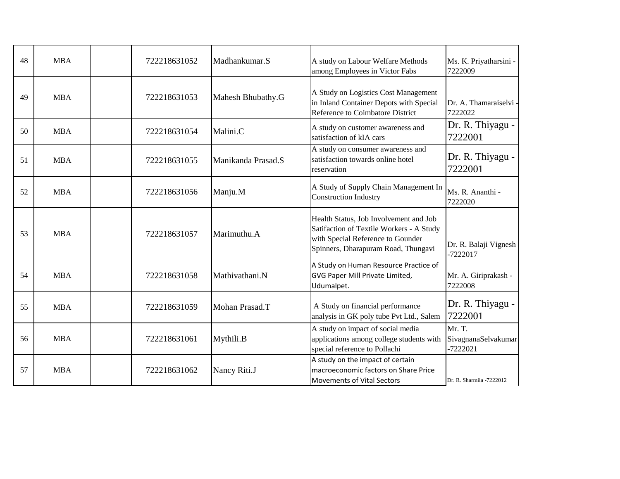| 48 | <b>MBA</b> | 722218631052 | Madhankumar.S      | A study on Labour Welfare Methods<br>among Employees in Victor Fabs                                                                                            | Ms. K. Priyatharsini -<br>7222009           |
|----|------------|--------------|--------------------|----------------------------------------------------------------------------------------------------------------------------------------------------------------|---------------------------------------------|
| 49 | <b>MBA</b> | 722218631053 | Mahesh Bhubathy.G  | A Study on Logistics Cost Management<br>in Inland Container Depots with Special<br>Reference to Coimbatore District                                            | Dr. A. Thamaraiselvi -<br>7222022           |
| 50 | <b>MBA</b> | 722218631054 | Malini.C           | A study on customer awareness and<br>satisfaction of kIA cars                                                                                                  | Dr. R. Thiyagu -<br>7222001                 |
| 51 | <b>MBA</b> | 722218631055 | Manikanda Prasad.S | A study on consumer awareness and<br>satisfaction towards online hotel<br>reservation                                                                          | Dr. R. Thiyagu -<br>7222001                 |
| 52 | <b>MBA</b> | 722218631056 | Manju.M            | A Study of Supply Chain Management In<br><b>Construction Industry</b>                                                                                          | Ms. R. Ananthi -<br>7222020                 |
| 53 | <b>MBA</b> | 722218631057 | Marimuthu.A        | Health Status, Job Involvement and Job<br>Satifaction of Textile Workers - A Study<br>with Special Reference to Gounder<br>Spinners, Dharapuram Road, Thungavi | Dr. R. Balaji Vignesh<br>-7222017           |
| 54 | <b>MBA</b> | 722218631058 | Mathivathani.N     | A Study on Human Resource Practice of<br>GVG Paper Mill Private Limited,<br>Udumalpet.                                                                         | Mr. A. Giriprakash -<br>7222008             |
| 55 | <b>MBA</b> | 722218631059 | Mohan Prasad.T     | A Study on financial performance<br>analysis in GK poly tube Pvt Ltd., Salem                                                                                   | Dr. R. Thiyagu -<br>7222001                 |
| 56 | <b>MBA</b> | 722218631061 | Mythili.B          | A study on impact of social media<br>applications among college students with<br>special reference to Pollachi                                                 | Mr. T.<br>SivagnanaSelvakumar<br>$-7222021$ |
| 57 | <b>MBA</b> | 722218631062 | Nancy Riti.J       | A study on the impact of certain<br>macroeconomic factors on Share Price<br>Movements of Vital Sectors                                                         | Dr. R. Sharmila -7222012                    |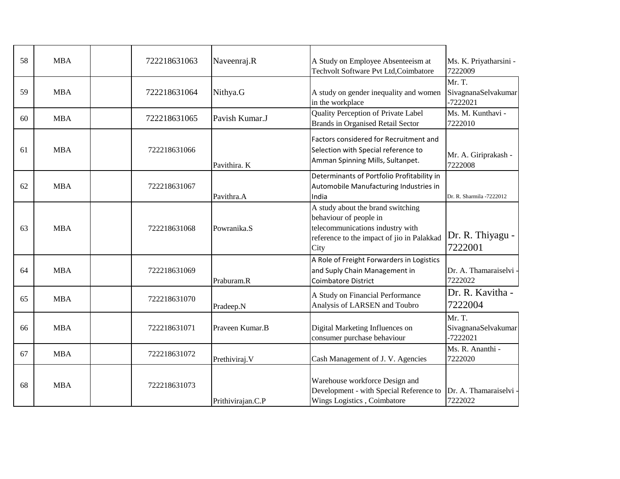| 58 | <b>MBA</b> | 722218631063 | Naveenraj.R       | A Study on Employee Absenteeism at<br>Techvolt Software Pvt Ltd, Coimbatore                                                                           | Ms. K. Priyatharsini -<br>7222009           |
|----|------------|--------------|-------------------|-------------------------------------------------------------------------------------------------------------------------------------------------------|---------------------------------------------|
| 59 | <b>MBA</b> | 722218631064 | Nithya.G          | A study on gender inequality and women<br>in the workplace                                                                                            | Mr. T.<br>SivagnanaSelvakumar<br>$-7222021$ |
| 60 | <b>MBA</b> | 722218631065 | Pavish Kumar.J    | Quality Perception of Private Label<br><b>Brands in Organised Retail Sector</b>                                                                       | Ms. M. Kunthavi -<br>7222010                |
| 61 | <b>MBA</b> | 722218631066 | Pavithira. K      | Factors considered for Recruitment and<br>Selection with Special reference to<br>Amman Spinning Mills, Sultanpet.                                     | Mr. A. Giriprakash -<br>7222008             |
| 62 | <b>MBA</b> | 722218631067 | Pavithra.A        | Determinants of Portfolio Profitability in<br>Automobile Manufacturing Industries in<br>India                                                         | Dr. R. Sharmila -7222012                    |
| 63 | <b>MBA</b> | 722218631068 | Powranika.S       | A study about the brand switching<br>behaviour of people in<br>telecommunications industry with<br>reference to the impact of jio in Palakkad<br>City | Dr. R. Thiyagu -<br>7222001                 |
| 64 | <b>MBA</b> | 722218631069 | Praburam.R        | A Role of Freight Forwarders in Logistics<br>and Suply Chain Management in<br><b>Coimbatore District</b>                                              | Dr. A. Thamaraiselvi<br>7222022             |
| 65 | <b>MBA</b> | 722218631070 | Pradeep.N         | A Study on Financial Performance<br>Analysis of LARSEN and Toubro                                                                                     | Dr. R. Kavitha -<br>7222004                 |
| 66 | <b>MBA</b> | 722218631071 | Praveen Kumar.B   | Digital Marketing Influences on<br>consumer purchase behaviour                                                                                        | Mr. T.<br>SivagnanaSelvakumar<br>$-7222021$ |
| 67 | <b>MBA</b> | 722218631072 | Prethiviraj. V    | Cash Management of J. V. Agencies                                                                                                                     | Ms. R. Ananthi -<br>7222020                 |
| 68 | <b>MBA</b> | 722218631073 | Prithivirajan.C.P | Warehouse workforce Design and<br>Development - with Special Reference to<br>Wings Logistics, Coimbatore                                              | Dr. A. Thamaraiselvi<br>7222022             |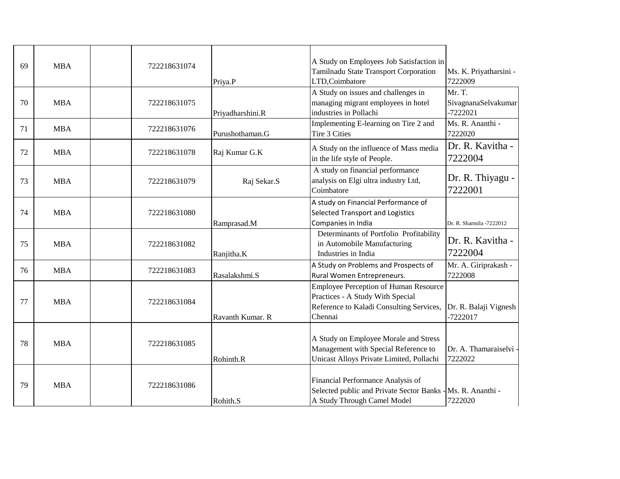| 69 | <b>MBA</b> | 722218631074 | Priya.P          | A Study on Employees Job Satisfaction in<br>Tamilnadu State Transport Corporation<br>LTD,Coimbatore                                     | Ms. K. Priyatharsini -<br>7222009           |
|----|------------|--------------|------------------|-----------------------------------------------------------------------------------------------------------------------------------------|---------------------------------------------|
| 70 | <b>MBA</b> | 722218631075 | Priyadharshini.R | A Study on issues and challenges in<br>managing migrant employees in hotel<br>industries in Pollachi                                    | Mr. T.<br>SivagnanaSelvakumar<br>$-7222021$ |
| 71 | <b>MBA</b> | 722218631076 | Purushothaman.G  | Implementing E-learning on Tire 2 and<br>Tire 3 Cities                                                                                  | Ms. R. Ananthi -<br>7222020                 |
| 72 | <b>MBA</b> | 722218631078 | Raj Kumar G.K    | A Study on the influence of Mass media<br>in the life style of People.                                                                  | Dr. R. Kavitha -<br>7222004                 |
| 73 | <b>MBA</b> | 722218631079 | Raj Sekar.S      | A study on financial performance<br>analysis on Elgi ultra industry Ltd,<br>Coimbatore                                                  | Dr. R. Thiyagu -<br>7222001                 |
| 74 | <b>MBA</b> | 722218631080 | Ramprasad.M      | A study on Financial Performance of<br>Selected Transport and Logistics<br>Companies in India                                           | Dr. R. Sharmila -7222012                    |
| 75 | <b>MBA</b> | 722218631082 | Ranjitha.K       | Determinants of Portfolio Profitability<br>in Automobile Manufacturing<br>Industries in India                                           | Dr. R. Kavitha -<br>7222004                 |
| 76 | <b>MBA</b> | 722218631083 | Rasalakshmi.S    | A Study on Problems and Prospects of<br>Rural Women Entrepreneurs.                                                                      | Mr. A. Giriprakash -<br>7222008             |
| 77 | <b>MBA</b> | 722218631084 | Ravanth Kumar, R | <b>Employee Perception of Human Resource</b><br>Practices - A Study With Special<br>Reference to Kaladi Consulting Services,<br>Chennai | Dr. R. Balaji Vignesh<br>-7222017           |
| 78 | <b>MBA</b> | 722218631085 | Rohinth.R        | A Study on Employee Morale and Stress<br>Management with Special Reference to<br>Unicast Alloys Private Limited, Pollachi               | Dr. A. Thamaraiselvi<br>7222022             |
| 79 | <b>MBA</b> | 722218631086 | Rohith.S         | Financial Performance Analysis of<br>Selected public and Private Sector Banks - Ms. R. Ananthi -<br>A Study Through Camel Model         | 7222020                                     |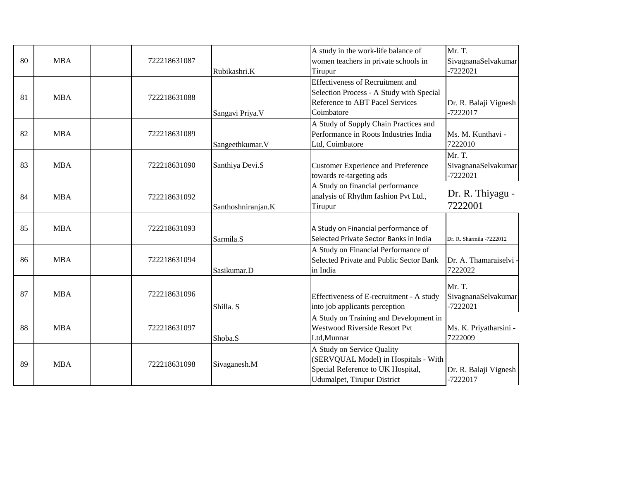|    |            |              |                    | A study in the work-life balance of       | Mr. T.                            |
|----|------------|--------------|--------------------|-------------------------------------------|-----------------------------------|
| 80 | <b>MBA</b> | 722218631087 |                    | women teachers in private schools in      | SivagnanaSelvakumar               |
|    |            |              | Rubikashri.K       | Tirupur                                   | $-7222021$                        |
|    |            |              |                    | <b>Effectiveness of Recruitment and</b>   |                                   |
| 81 | <b>MBA</b> | 722218631088 |                    | Selection Process - A Study with Special  |                                   |
|    |            |              |                    | <b>Reference to ABT Pacel Services</b>    | Dr. R. Balaji Vignesh             |
|    |            |              | Sangavi Priya.V    | Coimbatore                                | $-7222017$                        |
|    |            |              |                    | A Study of Supply Chain Practices and     |                                   |
| 82 | <b>MBA</b> | 722218631089 |                    | Performance in Roots Industries India     | Ms. M. Kunthavi -                 |
|    |            |              | Sangeethkumar. V   | Ltd, Coimbatore                           | 7222010                           |
|    |            |              |                    |                                           | Mr. T.                            |
| 83 | <b>MBA</b> | 722218631090 | Santhiya Devi.S    | <b>Customer Experience and Preference</b> | SivagnanaSelvakumar               |
|    |            |              |                    | towards re-targeting ads                  | $-7222021$                        |
|    |            |              |                    | A Study on financial performance          |                                   |
| 84 | <b>MBA</b> | 722218631092 |                    | analysis of Rhythm fashion Pvt Ltd.,      | Dr. R. Thiyagu -                  |
|    |            |              | Santhoshniranjan.K | Tirupur                                   | 7222001                           |
|    |            |              |                    |                                           |                                   |
| 85 | <b>MBA</b> | 722218631093 |                    | A Study on Financial performance of       |                                   |
|    |            |              | Sarmila.S          | Selected Private Sector Banks in India    | Dr. R. Sharmila -7222012          |
|    |            |              |                    | A Study on Financial Performance of       |                                   |
| 86 | <b>MBA</b> | 722218631094 |                    | Selected Private and Public Sector Bank   | Dr. A. Thamaraiselvi -            |
|    |            |              | Sasikumar.D        | in India                                  | 7222022                           |
|    |            |              |                    |                                           | Mr. T.                            |
| 87 | <b>MBA</b> | 722218631096 |                    | Effectiveness of E-recruitment - A study  | SivagnanaSelvakumar               |
|    |            |              | Shilla. S          | into job applicants perception            | $-7222021$                        |
|    |            |              |                    | A Study on Training and Development in    |                                   |
| 88 | <b>MBA</b> |              |                    | <b>Westwood Riverside Resort Pvt</b>      |                                   |
|    |            | 722218631097 |                    | Ltd,Munnar                                | Ms. K. Priyatharsini -<br>7222009 |
|    |            |              | Shoba.S            |                                           |                                   |
|    |            |              |                    | A Study on Service Quality                |                                   |
| 89 | <b>MBA</b> | 722218631098 | Sivaganesh.M       | (SERVQUAL Model) in Hospitals - With      |                                   |
|    |            |              |                    | Special Reference to UK Hospital,         | Dr. R. Balaji Vignesh             |
|    |            |              |                    | Udumalpet, Tirupur District               | $-7222017$                        |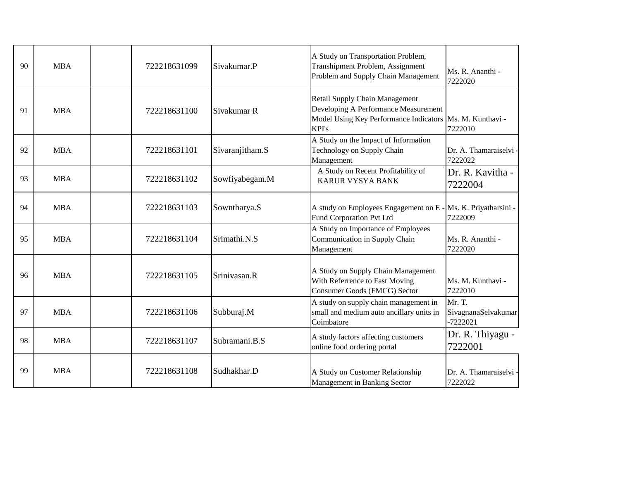| 90 | <b>MBA</b> | 722218631099 | Sivakumar.P     | A Study on Transportation Problem,<br>Transhipment Problem, Assignment<br>Problem and Supply Chain Management                                 | Ms. R. Ananthi -<br>7222020                 |
|----|------------|--------------|-----------------|-----------------------------------------------------------------------------------------------------------------------------------------------|---------------------------------------------|
| 91 | <b>MBA</b> | 722218631100 | Sivakumar R     | Retail Supply Chain Management<br>Developing A Performance Measurement<br>Model Using Key Performance Indicators   Ms. M. Kunthavi -<br>KPI's | 7222010                                     |
| 92 | <b>MBA</b> | 722218631101 | Sivaranjitham.S | A Study on the Impact of Information<br>Technology on Supply Chain<br>Management                                                              | Dr. A. Thamaraiselvi -<br>7222022           |
| 93 | <b>MBA</b> | 722218631102 | Sowfiyabegam.M  | A Study on Recent Profitability of<br><b>KARUR VYSYA BANK</b>                                                                                 | Dr. R. Kavitha -<br>7222004                 |
| 94 | <b>MBA</b> | 722218631103 | Sowntharya.S    | A study on Employees Engagement on E<br>Fund Corporation Pvt Ltd                                                                              | Ms. K. Priyatharsini -<br>7222009           |
| 95 | <b>MBA</b> | 722218631104 | Srimathi.N.S    | A Study on Importance of Employees<br>Communication in Supply Chain<br>Management                                                             | Ms. R. Ananthi -<br>7222020                 |
| 96 | <b>MBA</b> | 722218631105 | Srinivasan.R    | A Study on Supply Chain Management<br>With Referrence to Fast Moving<br>Consumer Goods (FMCG) Sector                                          | Ms. M. Kunthavi -<br>7222010                |
| 97 | <b>MBA</b> | 722218631106 | Subburaj.M      | A study on supply chain management in<br>small and medium auto ancillary units in<br>Coimbatore                                               | Mr. T.<br>SivagnanaSelvakumar<br>$-7222021$ |
| 98 | <b>MBA</b> | 722218631107 | Subramani.B.S   | A study factors affecting customers<br>online food ordering portal                                                                            | Dr. R. Thiyagu -<br>7222001                 |
| 99 | <b>MBA</b> | 722218631108 | Sudhakhar.D     | A Study on Customer Relationship<br>Management in Banking Sector                                                                              | Dr. A. Thamaraiselvi -<br>7222022           |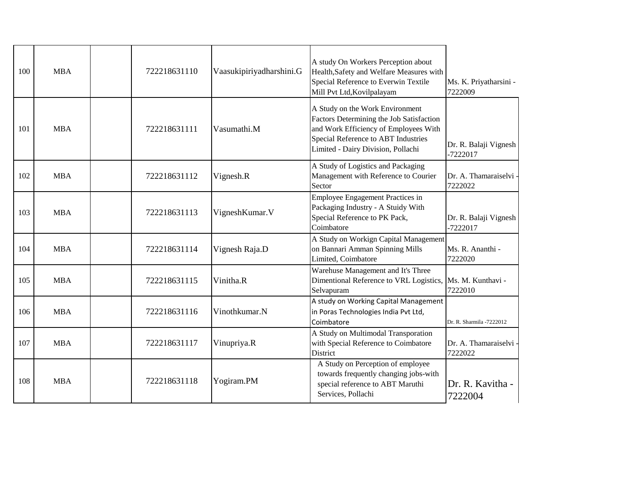| 100 | <b>MBA</b> | 722218631110 | Vaasukipiriyadharshini.G | A study On Workers Perception about<br>Health, Safety and Welfare Measures with<br>Special Reference to Everwin Textile<br>Mill Pvt Ltd, Kovilpalayam                                             | Ms. K. Priyatharsini -<br>7222009   |
|-----|------------|--------------|--------------------------|---------------------------------------------------------------------------------------------------------------------------------------------------------------------------------------------------|-------------------------------------|
| 101 | <b>MBA</b> | 722218631111 | Vasumathi.M              | A Study on the Work Environment<br>Factors Determining the Job Satisfaction<br>and Work Efficiency of Employees With<br>Special Reference to ABT Industries<br>Limited - Dairy Division, Pollachi | Dr. R. Balaji Vignesh<br>$-7222017$ |
| 102 | <b>MBA</b> | 722218631112 | Vignesh.R                | A Study of Logistics and Packaging<br>Management with Reference to Courier<br>Sector                                                                                                              | Dr. A. Thamaraiselvi<br>7222022     |
| 103 | <b>MBA</b> | 722218631113 | VigneshKumar.V           | Employee Engagement Practices in<br>Packaging Industry - A Stuidy With<br>Special Reference to PK Pack,<br>Coimbatore                                                                             | Dr. R. Balaji Vignesh<br>$-7222017$ |
| 104 | <b>MBA</b> | 722218631114 | Vignesh Raja.D           | A Study on Workign Capital Management<br>on Bannari Amman Spinning Mills<br>Limited, Coimbatore                                                                                                   | Ms. R. Ananthi -<br>7222020         |
| 105 | <b>MBA</b> | 722218631115 | Vinitha.R                | Warehuse Management and It's Three<br>Dimentional Reference to VRL Logistics,<br>Selvapuram                                                                                                       | Ms. M. Kunthavi -<br>7222010        |
| 106 | <b>MBA</b> | 722218631116 | Vinothkumar.N            | A study on Working Capital Management<br>in Poras Technologies India Pvt Ltd,<br>Coimbatore                                                                                                       | Dr. R. Sharmila -7222012            |
| 107 | <b>MBA</b> | 722218631117 | Vinupriya.R              | A Study on Multimodal Transporation<br>with Special Reference to Coimbatore<br>District                                                                                                           | Dr. A. Thamaraiselvi<br>7222022     |
| 108 | <b>MBA</b> | 722218631118 | Yogiram.PM               | A Study on Perception of employee<br>towards frequently changing jobs-with<br>special reference to ABT Maruthi<br>Services, Pollachi                                                              | Dr. R. Kavitha -<br>7222004         |